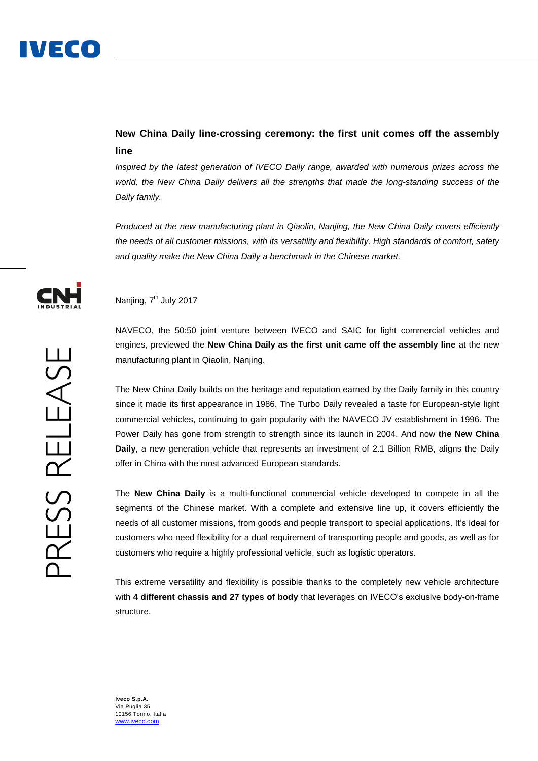## **New China Daily line-crossing ceremony: the first unit comes off the assembly line**

*Inspired by the latest generation of IVECO Daily range, awarded with numerous prizes across the world, the New China Daily delivers all the strengths that made the long-standing success of the Daily family.*

*Produced at the new manufacturing plant in Qiaolin, Nanjing, the New China Daily covers efficiently the needs of all customer missions, with its versatility and flexibility. High standards of comfort, safety and quality make the New China Daily a benchmark in the Chinese market.*



### Nanjing, 7<sup>th</sup> July 2017

NAVECO, the 50:50 joint venture between IVECO and SAIC for light commercial vehicles and engines, previewed the **New China Daily as the first unit came off the assembly line** at the new manufacturing plant in Qiaolin, Nanjing.

The New China Daily builds on the heritage and reputation earned by the Daily family in this country since it made its first appearance in 1986. The Turbo Daily revealed a taste for European-style light commercial vehicles, continuing to gain popularity with the NAVECO JV establishment in 1996. The Power Daily has gone from strength to strength since its launch in 2004. And now **the New China Daily**, a new generation vehicle that represents an investment of 2.1 Billion RMB, aligns the Daily offer in China with the most advanced European standards.

The **New China Daily** is a multi-functional commercial vehicle developed to compete in all the segments of the Chinese market. With a complete and extensive line up, it covers efficiently the needs of all customer missions, from goods and people transport to special applications. It's ideal for customers who need flexibility for a dual requirement of transporting people and goods, as well as for customers who require a highly professional vehicle, such as logistic operators.

This extreme versatility and flexibility is possible thanks to the completely new vehicle architecture with **4 different chassis and 27 types of body** that leverages on IVECO's exclusive body-on-frame structure.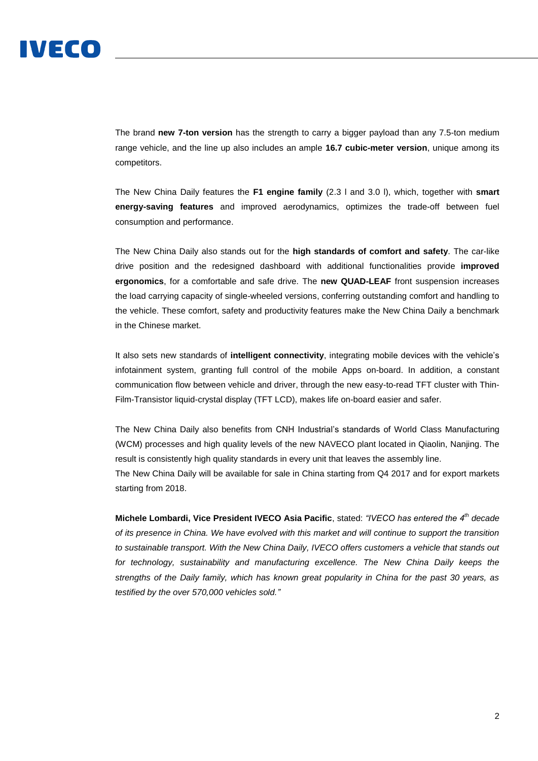# IVECO

The brand **new 7-ton version** has the strength to carry a bigger payload than any 7.5-ton medium range vehicle, and the line up also includes an ample **16.7 cubic-meter version**, unique among its competitors.

The New China Daily features the **F1 engine family** (2.3 l and 3.0 l), which, together with **smart energy-saving features** and improved aerodynamics, optimizes the trade-off between fuel consumption and performance.

The New China Daily also stands out for the **high standards of comfort and safety**. The car-like drive position and the redesigned dashboard with additional functionalities provide **improved ergonomics**, for a comfortable and safe drive. The **new QUAD-LEAF** front suspension increases the load carrying capacity of single-wheeled versions, conferring outstanding comfort and handling to the vehicle. These comfort, safety and productivity features make the New China Daily a benchmark in the Chinese market.

It also sets new standards of **intelligent connectivity**, integrating mobile devices with the vehicle's infotainment system, granting full control of the mobile Apps on-board. In addition, a constant communication flow between vehicle and driver, through the new easy-to-read TFT cluster with Thin-Film-Transistor liquid-crystal display (TFT LCD), makes life on-board easier and safer.

The New China Daily also benefits from CNH Industrial's standards of World Class Manufacturing (WCM) processes and high quality levels of the new NAVECO plant located in Qiaolin, Nanjing. The result is consistently high quality standards in every unit that leaves the assembly line.

The New China Daily will be available for sale in China starting from Q4 2017 and for export markets starting from 2018.

**Michele Lombardi, Vice President IVECO Asia Pacific**, stated: *"IVECO has entered the 4th decade of its presence in China. We have evolved with this market and will continue to support the transition to sustainable transport. With the New China Daily, IVECO offers customers a vehicle that stands out*  for technology, sustainability and manufacturing excellence. The New China Daily keeps the *strengths of the Daily family, which has known great popularity in China for the past 30 years, as testified by the over 570,000 vehicles sold."*